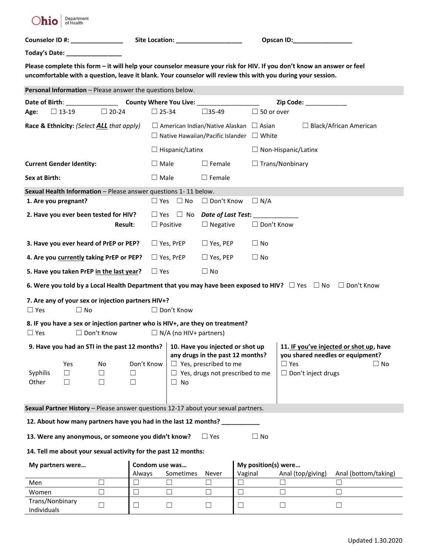

| <b>Counselor ID #:</b> | <b>Site Location:</b> |
|------------------------|-----------------------|
|                        |                       |

**Cpscan ID:\_\_\_\_\_\_\_\_\_\_\_\_\_\_\_\_\_** 

**Today's Date: \_\_\_\_\_\_\_\_\_\_\_\_\_\_\_\_**

**Please complete this form – it will help your counselor measure your risk for HIV. If you don't know an answer or feel uncomfortable with a question, leave it blank. Your counselor will review this with you during your session.**

| Personal Information - Please answer the questions below.                          |                                                                 |                   |                                |                                                                                                                         |                               |                                                                                                            |         |                     |                                                                                                           |                                         |  |
|------------------------------------------------------------------------------------|-----------------------------------------------------------------|-------------------|--------------------------------|-------------------------------------------------------------------------------------------------------------------------|-------------------------------|------------------------------------------------------------------------------------------------------------|---------|---------------------|-----------------------------------------------------------------------------------------------------------|-----------------------------------------|--|
| County Where You Live: _________<br>Date of Birth:                                 |                                                                 |                   |                                |                                                                                                                         |                               | Zip Code: The Code of the Code of the Code of the Code of the Code of the Code of the Code of the Co       |         |                     |                                                                                                           |                                         |  |
| Age:                                                                               | $\Box$ 13-19                                                    | $\Box$ 20-24      |                                | $\Box$ 25-34                                                                                                            |                               | $\square$ 35-49                                                                                            |         | $\Box$ 50 or over   |                                                                                                           |                                         |  |
| Race & Ethnicity: (Select ALL that apply)                                          |                                                                 |                   |                                |                                                                                                                         |                               | $\Box$ American Indian/Native Alaskan $\Box$ Asian<br>$\Box$ Native Hawaiian/Pacific Islander $\Box$ White |         |                     |                                                                                                           | $\Box$ Black/African American           |  |
|                                                                                    |                                                                 |                   |                                |                                                                                                                         | $\Box$ Hispanic/Latinx        |                                                                                                            |         |                     | $\Box$ Non-Hispanic/Latinx                                                                                |                                         |  |
| <b>Current Gender Identity:</b>                                                    |                                                                 |                   |                                | $\Box$ Male                                                                                                             |                               | $\square$ Female                                                                                           |         |                     | $\Box$ Trans/Nonbinary                                                                                    |                                         |  |
| Sex at Birth:                                                                      |                                                                 |                   |                                | $\Box$ Male                                                                                                             |                               | $\Box$ Female                                                                                              |         |                     |                                                                                                           |                                         |  |
| Sexual Health Information - Please answer questions 1-11 below.                    |                                                                 |                   |                                |                                                                                                                         |                               |                                                                                                            |         |                     |                                                                                                           |                                         |  |
| 1. Are you pregnant?                                                               |                                                                 |                   |                                |                                                                                                                         | $\Box$ Yes $\Box$ No          | $\Box$ Don't Know                                                                                          |         | $\Box$ N/A          |                                                                                                           |                                         |  |
|                                                                                    | 2. Have you ever been tested for HIV?                           | Result:           |                                | $\Box$ Yes<br>$\Box$ Positive                                                                                           |                               | $\Box$ No Date of Last Test:<br>$\Box$ Negative                                                            |         | $\Box$ Don't Know   |                                                                                                           |                                         |  |
|                                                                                    | 3. Have you ever heard of PrEP or PEP?                          |                   |                                |                                                                                                                         | $\Box$ Yes, PrEP              | $\Box$ Yes, PEP                                                                                            |         | $\Box$ No           |                                                                                                           |                                         |  |
|                                                                                    | 4. Are you currently taking PrEP or PEP?                        |                   |                                |                                                                                                                         | $\Box$ Yes, PrEP              | $\Box$ Yes, PEP                                                                                            |         | $\Box$ No           |                                                                                                           |                                         |  |
|                                                                                    | 5. Have you taken PrEP in the last year?                        |                   |                                | $\Box$ Yes                                                                                                              |                               | $\Box$ No                                                                                                  |         |                     |                                                                                                           |                                         |  |
|                                                                                    |                                                                 |                   |                                |                                                                                                                         |                               |                                                                                                            |         |                     | 6. Were you told by a Local Health Department that you may have been exposed to HIV? $\Box$ Yes $\Box$ No | $\Box$ Don't Know                       |  |
| $\Box$ Yes                                                                         | 7. Are any of your sex or injection partners HIV+?<br>$\Box$ No |                   |                                |                                                                                                                         | $\Box$ Don't Know             |                                                                                                            |         |                     |                                                                                                           |                                         |  |
| $\Box$ Yes                                                                         |                                                                 | □ Don't Know      |                                |                                                                                                                         | $\Box$ N/A (no HIV+ partners) | 8. IF you have a sex or injection partner who is HIV+, are they on treatment?                              |         |                     |                                                                                                           |                                         |  |
|                                                                                    | 9. Have you had an STI in the past 12 months?                   |                   |                                |                                                                                                                         |                               | 10. Have you injected or shot up                                                                           |         |                     |                                                                                                           | 11. IF you've injected or shot up, have |  |
| Syphilis<br>Other                                                                  | Yes<br>ப<br>$\Box$                                              | No<br>ப<br>$\Box$ | Don't Know<br>$\Box$<br>$\Box$ | any drugs in the past 12 months?<br>$\Box$ Yes, prescribed to me<br>$\Box$ Yes, drugs not prescribed to me<br>$\Box$ No |                               |                                                                                                            |         |                     | you shared needles or equipment?<br>$\Box$ Yes<br>$\Box$ No<br>$\Box$ Don't inject drugs                  |                                         |  |
| Sexual Partner History - Please answer questions 12-17 about your sexual partners. |                                                                 |                   |                                |                                                                                                                         |                               |                                                                                                            |         |                     |                                                                                                           |                                         |  |
|                                                                                    | 12. About how many partners have you had in the last 12 months? |                   |                                |                                                                                                                         |                               |                                                                                                            |         |                     |                                                                                                           |                                         |  |
| 13. Were any anonymous, or someone you didn't know?<br>$\Box$ Yes<br>$\Box$ No     |                                                                 |                   |                                |                                                                                                                         |                               |                                                                                                            |         |                     |                                                                                                           |                                         |  |
| 14. Tell me about your sexual activity for the past 12 months:                     |                                                                 |                   |                                |                                                                                                                         |                               |                                                                                                            |         |                     |                                                                                                           |                                         |  |
| My partners were                                                                   |                                                                 |                   | Always                         |                                                                                                                         | Condom use was<br>Sometimes   | Never                                                                                                      | Vaginal | My position(s) were | Anal (top/giving)                                                                                         | Anal (bottom/taking)                    |  |
| Men                                                                                |                                                                 | $\Box$            | ⊔                              |                                                                                                                         | $\Box$                        | $\Box$                                                                                                     | $\Box$  |                     | $\Box$                                                                                                    | $\Box$                                  |  |
| Women                                                                              |                                                                 | $\Box$            | ⊔                              |                                                                                                                         | $\Box$                        | $\Box$                                                                                                     | $\Box$  |                     | $\Box$                                                                                                    | $\Box$                                  |  |
| Trans/Nonbinary<br>Individuals                                                     |                                                                 | $\Box$            | $\Box$                         |                                                                                                                         | Ш                             | $\Box$                                                                                                     | ப       |                     | $\sqcup$                                                                                                  | ⊔                                       |  |